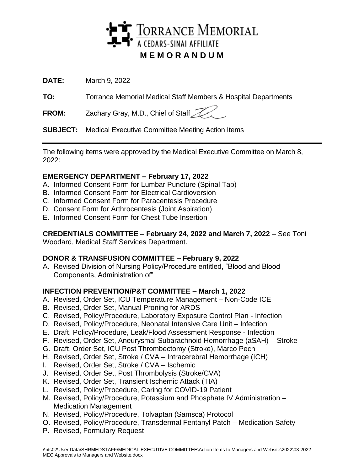

**DATE:** March 9, 2022

**TO:** Torrance Memorial Medical Staff Members & Hospital Departments

FROM: Zachary Gray, M.D., Chief of Staff

**SUBJECT:** Medical Executive Committee Meeting Action Items

The following items were approved by the Medical Executive Committee on March 8, 2022:

# **EMERGENCY DEPARTMENT – February 17, 2022**

- A. Informed Consent Form for Lumbar Puncture (Spinal Tap)
- B. Informed Consent Form for Electrical Cardioversion
- C. Informed Consent Form for Paracentesis Procedure
- D. Consent Form for Arthrocentesis (Joint Aspiration)
- E. Informed Consent Form for Chest Tube Insertion

**CREDENTIALS COMMITTEE – February 24, 2022 and March 7, 2022** – See Toni

Woodard, Medical Staff Services Department.

# **DONOR & TRANSFUSION COMMITTEE – February 9, 2022**

A. Revised Division of Nursing Policy/Procedure entitled, "Blood and Blood Components, Administration of"

# **INFECTION PREVENTION/P&T COMMITTEE – March 1, 2022**

- A. Revised, Order Set, ICU Temperature Management Non-Code ICE
- B. Revised, Order Set, Manual Proning for ARDS
- C. Revised, Policy/Procedure, Laboratory Exposure Control Plan Infection
- D. Revised, Policy/Procedure, Neonatal Intensive Care Unit Infection
- E. Draft, Policy/Procedure, Leak/Flood Assessment Response Infection
- F. Revised, Order Set, Aneurysmal Subarachnoid Hemorrhage (aSAH) Stroke
- G. Draft, Order Set, ICU Post Thrombectomy (Stroke), Marco Pech
- H. Revised, Order Set, Stroke / CVA Intracerebral Hemorrhage (ICH)
- I. Revised, Order Set, Stroke / CVA Ischemic
- J. Revised, Order Set, Post Thrombolysis (Stroke/CVA)
- K. Revised, Order Set, Transient Ischemic Attack (TIA)
- L. Revised, Policy/Procedure, Caring for COVID-19 Patient
- M. Revised, Policy/Procedure, Potassium and Phosphate IV Administration Medication Management
- N. Revised, Policy/Procedure, Tolvaptan (Samsca) Protocol
- O. Revised, Policy/Procedure, Transdermal Fentanyl Patch Medication Safety
- P. Revised, Formulary Request